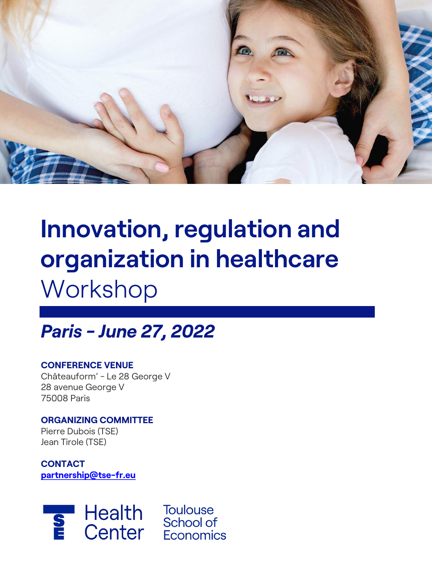

# **Innovation, regulation and organization in healthcare** Workshop

## *Paris - June 27, 2022*

### **CONFERENCE VENUE**

Châteauform' - Le 28 George V 28 avenue George V 75008 Paris

### **ORGANIZING COMMITTEE** Pierre Dubois (TSE) Jean Tirole (TSE)

**CONTACT [partnership@tse-fr.eu](mailto:postconf@tse-fr.eu)**



**Toulouse** School of Economics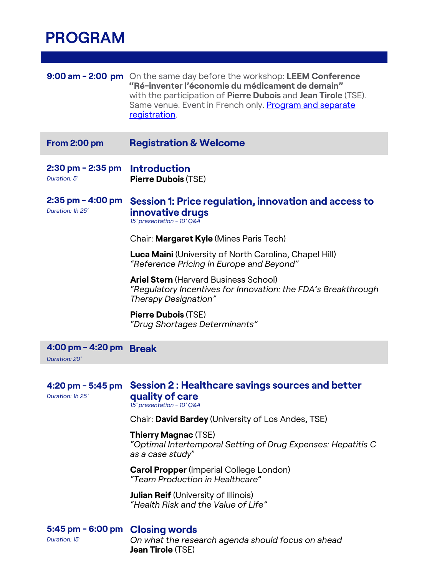## **PROGRAM**

|                                                            | 9:00 am - 2:00 pm On the same day before the workshop: LEEM Conference<br>"Ré-inventer l'économie du médicament de demain"<br>with the participation of Pierre Dubois and Jean Tirole (TSE).<br>Same venue. Event in French only. Program and separate<br>registration. |
|------------------------------------------------------------|-------------------------------------------------------------------------------------------------------------------------------------------------------------------------------------------------------------------------------------------------------------------------|
| <b>From 2:00 pm</b>                                        | <b>Registration &amp; Welcome</b>                                                                                                                                                                                                                                       |
| $2:30$ pm – $2:35$ pm<br>Duration: 5'                      | <b>Introduction</b><br><b>Pierre Dubois (TSE)</b>                                                                                                                                                                                                                       |
| $2:35$ pm – $4:00$ pm<br>Duration: 1h 25'                  | <b>Session 1: Price regulation, innovation and access to</b><br><b>innovative drugs</b><br>15' presentation - 10' Q&A                                                                                                                                                   |
|                                                            | Chair: <b>Margaret Kyle</b> (Mines Paris Tech)                                                                                                                                                                                                                          |
|                                                            | <b>Luca Maini</b> (University of North Carolina, Chapel Hill)<br>"Reference Pricing in Europe and Beyond"                                                                                                                                                               |
|                                                            | <b>Ariel Stern</b> (Harvard Business School)<br>"Regulatory Incentives for Innovation: the FDA's Breakthrough<br>Therapy Designation"                                                                                                                                   |
|                                                            | <b>Pierre Dubois (TSE)</b><br>"Drug Shortages Determinants"                                                                                                                                                                                                             |
| $4:00 \text{ pm} - 4:20 \text{ pm}$ Break<br>Duration: 20' |                                                                                                                                                                                                                                                                         |
| $4:20 \text{ pm}$ – 5:45 pm<br>Duration: 1h 25'            | <b>Session 2: Healthcare savings sources and better</b><br>quality of care<br>15' presentation - 10' Q&A                                                                                                                                                                |
|                                                            | Chair: <b>David Bardey</b> (University of Los Andes, TSE)                                                                                                                                                                                                               |
|                                                            | <b>Thierry Magnac (TSE)</b><br>"Optimal Intertemporal Setting of Drug Expenses: Hepatitis C<br>as a case study"                                                                                                                                                         |
|                                                            | <b>Carol Propper</b> (Imperial College London)<br>"Team Production in Healthcare"                                                                                                                                                                                       |
|                                                            | <b>Julian Reif</b> (University of Illinois)<br>"Health Risk and the Value of Life"                                                                                                                                                                                      |
| 5:45 pm - 6:00 pm Closing words<br>Duration: 15'           | On what the research agenda should focus on ahead<br><b>Jean Tirole (TSE)</b>                                                                                                                                                                                           |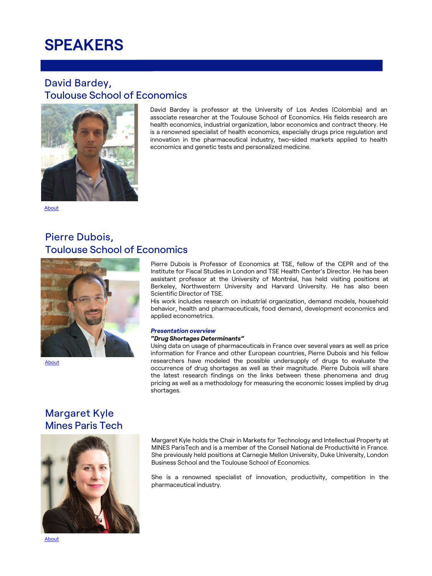## **SPEAKERS**

## David Bardey, Toulouse School of Economics



David Bardey is professor at the University of Los Andes (Colombia) and an associate researcher at the Toulouse School of Economics. His fields research are health economics, industrial organization, labor economics and contract theory. He is a renowned specialist of health economics, especially drugs price regulation and innovation in the pharmaceutical industry, two-sided markets applied to health economics and genetic tests and personalized medicine.

[About](https://www.tse-fr.eu/people/david-bardey?tab=bio-and-research-interests) 

## Pierre Dubois, Toulouse School of Economics



[About](https://www.tse-fr.eu/fr/people/pierre-dubois) 

Pierre Dubois is Professor of Economics at TSE, fellow of the CEPR and of the Institute for Fiscal Studies in London and TSE Health Center's Director. He has been assistant professor at the University of Montréal, has held visiting positions at Berkeley, Northwestern University and Harvard University. He has also been Scientific Director of TSE.

His work includes research on industrial organization, demand models, household behavior, health and pharmaceuticals, food demand, development economics and applied econometrics.

#### *Presentation overview*

#### *"Drug Shortages Determinants"*

Using data on usage of pharmaceuticals in France over several years as well as price information for France and other European countries, Pierre Dubois and his fellow researchers have modeled the possible undersupply of drugs to evaluate the occurrence of drug shortages as well as their magnitude. Pierre Dubois will share the latest research findings on the links between these phenomena and drug pricing as well as a methodology for measuring the economic losses implied by drug shortages.

## Margaret Kyle Mines Paris Tech



Margaret Kyle holds the Chair in Markets for Technology and Intellectual Property at MINES ParisTech and is a member of the Conseil National de Productivité in France. She previously held positions at Carnegie Mellon University, Duke University, London Business School and the Toulouse School of Economics.

She is a renowned specialist of innovation, productivity, competition in the pharmaceutical industry.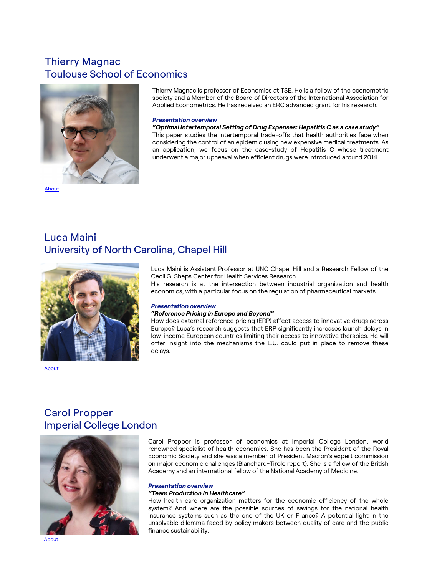## Thierry Magnac Toulouse School of Economics



[About](https://www.tse-fr.eu/people/thierry-magnac)

Thierry Magnac is professor of Economics at TSE. He is a fellow of the econometric society and a Member of the Board of Directors of the International Association for Applied Econometrics. He has received an ERC advanced grant for his research.

#### *Presentation overview*

*"Optimal Intertemporal Setting of Drug Expenses: Hepatitis C as a case study"*

This paper studies the intertemporal trade-offs that health authorities face when considering the control of an epidemic using new expensive medical treatments. As an application, we focus on the case-study of Hepatitis C whose treatment underwent a major upheaval when efficient drugs were introduced around 2014.

## Luca Maini University of North Carolina, Chapel Hill



[About](https://www.lucamaini.com/) 

Luca Maini is Assistant Professor at UNC Chapel Hill and a Research Fellow of the Cecil G. Sheps Center for Health Services Research.

His research is at the intersection between industrial organization and health economics, with a particular focus on the regulation of pharmaceutical markets.

#### *Presentation overview*

### *"Reference Pricing in Europe and Beyond"*

How does external reference pricing (ERP) affect access to innovative drugs across Europe? Luca's research suggests that ERP significantly increases launch delays in low-income European countries limiting their access to innovative therapies. He will offer insight into the mechanisms the E.U. could put in place to remove these delays.

## Carol Propper Imperial College London



Carol Propper is professor of economics at Imperial College London, world renowned specialist of health economics. She has been the President of the Royal Economic Society and she was a member of President Macron's expert commission on major economic challenges (Blanchard-Tirole report). She is a fellow of the British Academy and an international fellow of the National Academy of Medicine.

### *Presentation overview*

#### *"Team Production in Healthcare"*

How health care organization matters for the economic efficiency of the whole system? And where are the possible sources of savings for the national health insurance systems such as the one of the UK or France? A potential light in the unsolvable dilemma faced by policy makers between quality of care and the public finance sustainability.

[About](https://www.imperial.ac.uk/people/c.propper)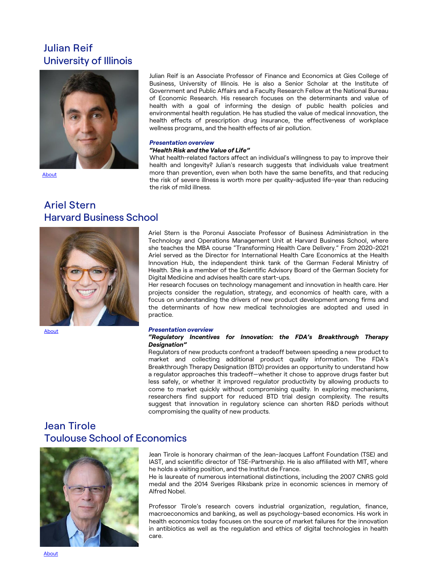## Julian Reif University of Illinois



[About](https://giesbusiness.illinois.edu/profile/julian-reif)

Julian Reif is an Associate Professor of Finance and Economics at Gies College of Business, University of Illinois. He is also a Senior Scholar at the Institute of Government and Public Affairs and a Faculty Research Fellow at the National Bureau of Economic Research. His research focuses on the determinants and value of health with a goal of informing the design of public health policies and environmental health regulation. He has studied the value of medical innovation, the health effects of prescription drug insurance, the effectiveness of workplace wellness programs, and the health effects of air pollution.

#### *Presentation overview*

### *"Health Risk and the Value of Life"*

What health-related factors affect an individual's willingness to pay to improve their health and longevity? Julian's research suggests that individuals value treatment more than prevention, even when both have the same benefits, and that reducing the risk of severe illness is worth more per quality-adjusted life-year than reducing the risk of mild illness.

## Ariel Stern Harvard Business School



[About](https://www.hbs.edu/faculty/Pages/profile.aspx?facId=735581)

Ariel Stern is the Poronui Associate Professor of Business Administration in the Technology and Operations Management Unit at Harvard Business School, where she teaches the MBA course "Transforming Health Care Delivery." From 2020-2021 Ariel served as the Director for International Health Care Economics at the Health Innovation Hub, the independent think tank of the German Federal Ministry of Health. She is a member of the Scientific Advisory Board of the German Society for Digital Medicine and advises health care start-ups.

Her research focuses on technology management and innovation in health care. Her projects consider the regulation, strategy, and economics of health care, with a focus on understanding the drivers of new product development among firms and the determinants of how new medical technologies are adopted and used in practice.

#### *Presentation overview*

#### *"Regulatory Incentives for Innovation: the FDA's Breakthrough Therapy Designation"*

Regulators of new products confront a tradeoff between speeding a new product to market and collecting additional product quality information. The FDA's Breakthrough Therapy Designation (BTD) provides an opportunity to understand how a regulator approaches this tradeoff—whether it chose to approve drugs faster but less safely, or whether it improved regulator productivity by allowing products to come to market quickly without compromising quality. In exploring mechanisms, researchers find support for reduced BTD trial design complexity. The results suggest that innovation in regulatory science can shorten R&D periods without compromising the quality of new products.

### Jean Tirole Toulouse School of Economics



Jean Tirole is honorary chairman of the Jean-Jacques Laffont Foundation (TSE) and IAST, and scientific director of TSE-Partnership. He is also affiliated with MIT, where he holds a visiting position, and the Institut de France.

He is laureate of numerous international distinctions, including the 2007 CNRS gold medal and the 2014 Sveriges Riksbank prize in economic sciences in memory of Alfred Nobel.

Professor Tirole's research covers industrial organization, regulation, finance, macroeconomics and banking, as well as psychology-based economics. His work in health economics today focuses on the source of market failures for the innovation in antibiotics as well as the regulation and ethics of digital technologies in health care.